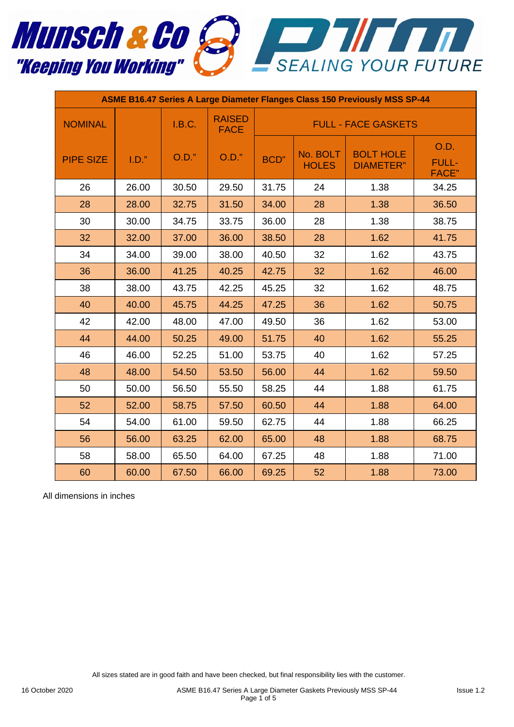

| <b>ASME B16.47 Series A Large Diameter Flanges Class 150 Previously MSS SP-44</b> |       |        |                              |                            |                          |                                      |                                       |  |
|-----------------------------------------------------------------------------------|-------|--------|------------------------------|----------------------------|--------------------------|--------------------------------------|---------------------------------------|--|
| <b>NOMINAL</b>                                                                    |       | I.B.C. | <b>RAISED</b><br><b>FACE</b> | <b>FULL - FACE GASKETS</b> |                          |                                      |                                       |  |
| <b>PIPE SIZE</b>                                                                  | I.D." | O.D."  | O.D."                        | BCD"                       | No. BOLT<br><b>HOLES</b> | <b>BOLT HOLE</b><br><b>DIAMETER"</b> | O.D.<br><b>FULL-</b><br><b>FACE</b> " |  |
| 26                                                                                | 26.00 | 30.50  | 29.50                        | 31.75                      | 24                       | 1.38                                 | 34.25                                 |  |
| 28                                                                                | 28.00 | 32.75  | 31.50                        | 34.00                      | 28                       | 1.38                                 | 36.50                                 |  |
| 30                                                                                | 30.00 | 34.75  | 33.75                        | 36.00                      | 28                       | 1.38                                 | 38.75                                 |  |
| 32                                                                                | 32.00 | 37.00  | 36.00                        | 38.50                      | 28                       | 1.62                                 | 41.75                                 |  |
| 34                                                                                | 34.00 | 39.00  | 38.00                        | 40.50                      | 32                       | 1.62                                 | 43.75                                 |  |
| 36                                                                                | 36.00 | 41.25  | 40.25                        | 42.75                      | 32                       | 1.62                                 | 46.00                                 |  |
| 38                                                                                | 38.00 | 43.75  | 42.25                        | 45.25                      | 32                       | 1.62                                 | 48.75                                 |  |
| 40                                                                                | 40.00 | 45.75  | 44.25                        | 47.25                      | 36                       | 1.62                                 | 50.75                                 |  |
| 42                                                                                | 42.00 | 48.00  | 47.00                        | 49.50                      | 36                       | 1.62                                 | 53.00                                 |  |
| 44                                                                                | 44.00 | 50.25  | 49.00                        | 51.75                      | 40                       | 1.62                                 | 55.25                                 |  |
| 46                                                                                | 46.00 | 52.25  | 51.00                        | 53.75                      | 40                       | 1.62                                 | 57.25                                 |  |
| 48                                                                                | 48.00 | 54.50  | 53.50                        | 56.00                      | 44                       | 1.62                                 | 59.50                                 |  |
| 50                                                                                | 50.00 | 56.50  | 55.50                        | 58.25                      | 44                       | 1.88                                 | 61.75                                 |  |
| 52                                                                                | 52.00 | 58.75  | 57.50                        | 60.50                      | 44                       | 1.88                                 | 64.00                                 |  |
| 54                                                                                | 54.00 | 61.00  | 59.50                        | 62.75                      | 44                       | 1.88                                 | 66.25                                 |  |
| 56                                                                                | 56.00 | 63.25  | 62.00                        | 65.00                      | 48                       | 1.88                                 | 68.75                                 |  |
| 58                                                                                | 58.00 | 65.50  | 64.00                        | 67.25                      | 48                       | 1.88                                 | 71.00                                 |  |
| 60                                                                                | 60.00 | 67.50  | 66.00                        | 69.25                      | 52                       | 1.88                                 | 73.00                                 |  |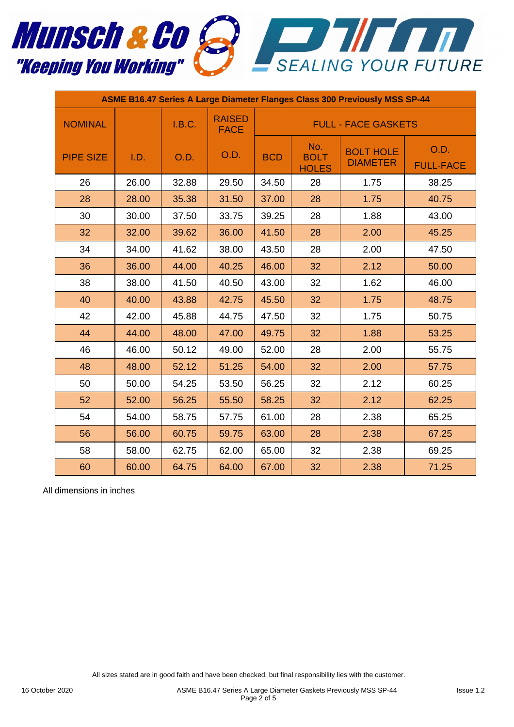

| <b>ASME B16.47 Series A Large Diameter Flanges Class 300 Previously MSS SP-44</b> |       |        |                              |                            |                                    |                                     |                          |  |
|-----------------------------------------------------------------------------------|-------|--------|------------------------------|----------------------------|------------------------------------|-------------------------------------|--------------------------|--|
| <b>NOMINAL</b>                                                                    |       | I.B.C. | <b>RAISED</b><br><b>FACE</b> | <b>FULL - FACE GASKETS</b> |                                    |                                     |                          |  |
| <b>PIPE SIZE</b>                                                                  | I.D.  | O.D.   | O.D.                         | <b>BCD</b>                 | No.<br><b>BOLT</b><br><b>HOLES</b> | <b>BOLT HOLE</b><br><b>DIAMETER</b> | O.D.<br><b>FULL-FACE</b> |  |
| 26                                                                                | 26.00 | 32.88  | 29.50                        | 34.50                      | 28                                 | 1.75                                | 38.25                    |  |
| 28                                                                                | 28.00 | 35.38  | 31.50                        | 37.00                      | 28                                 | 1.75                                | 40.75                    |  |
| 30                                                                                | 30.00 | 37.50  | 33.75                        | 39.25                      | 28                                 | 1.88                                | 43.00                    |  |
| 32                                                                                | 32.00 | 39.62  | 36.00                        | 41.50                      | 28                                 | 2.00                                | 45.25                    |  |
| 34                                                                                | 34.00 | 41.62  | 38.00                        | 43.50                      | 28                                 | 2.00                                | 47.50                    |  |
| 36                                                                                | 36.00 | 44.00  | 40.25                        | 46.00                      | 32                                 | 2.12                                | 50.00                    |  |
| 38                                                                                | 38.00 | 41.50  | 40.50                        | 43.00                      | 32                                 | 1.62                                | 46.00                    |  |
| 40                                                                                | 40.00 | 43.88  | 42.75                        | 45.50                      | 32                                 | 1.75                                | 48.75                    |  |
| 42                                                                                | 42.00 | 45.88  | 44.75                        | 47.50                      | 32                                 | 1.75                                | 50.75                    |  |
| 44                                                                                | 44.00 | 48.00  | 47.00                        | 49.75                      | 32                                 | 1.88                                | 53.25                    |  |
| 46                                                                                | 46.00 | 50.12  | 49.00                        | 52.00                      | 28                                 | 2.00                                | 55.75                    |  |
| 48                                                                                | 48.00 | 52.12  | 51.25                        | 54.00                      | 32                                 | 2.00                                | 57.75                    |  |
| 50                                                                                | 50.00 | 54.25  | 53.50                        | 56.25                      | 32                                 | 2.12                                | 60.25                    |  |
| 52                                                                                | 52.00 | 56.25  | 55.50                        | 58.25                      | 32                                 | 2.12                                | 62.25                    |  |
| 54                                                                                | 54.00 | 58.75  | 57.75                        | 61.00                      | 28                                 | 2.38                                | 65.25                    |  |
| 56                                                                                | 56.00 | 60.75  | 59.75                        | 63.00                      | 28                                 | 2.38                                | 67.25                    |  |
| 58                                                                                | 58.00 | 62.75  | 62.00                        | 65.00                      | 32                                 | 2.38                                | 69.25                    |  |
| 60                                                                                | 60.00 | 64.75  | 64.00                        | 67.00                      | 32                                 | 2.38                                | 71.25                    |  |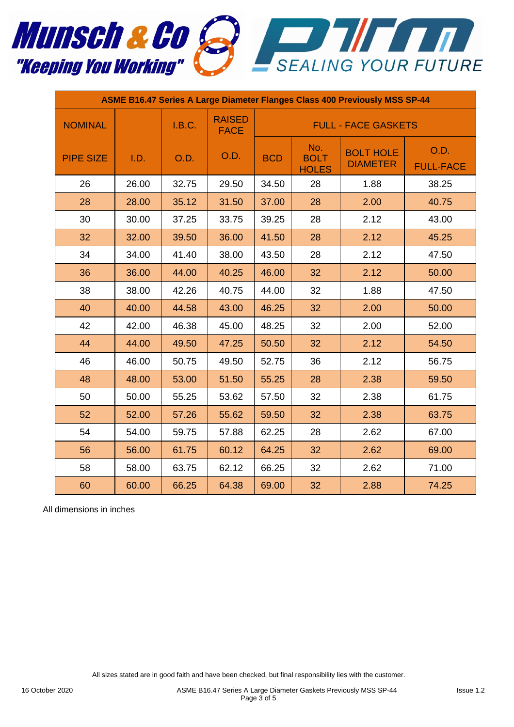

| <b>ASME B16.47 Series A Large Diameter Flanges Class 400 Previously MSS SP-44</b> |       |        |                              |                            |                                    |                                     |                          |  |
|-----------------------------------------------------------------------------------|-------|--------|------------------------------|----------------------------|------------------------------------|-------------------------------------|--------------------------|--|
| <b>NOMINAL</b>                                                                    |       | I.B.C. | <b>RAISED</b><br><b>FACE</b> | <b>FULL - FACE GASKETS</b> |                                    |                                     |                          |  |
| <b>PIPE SIZE</b>                                                                  | I.D.  | O.D.   | O.D.                         | <b>BCD</b>                 | No.<br><b>BOLT</b><br><b>HOLES</b> | <b>BOLT HOLE</b><br><b>DIAMETER</b> | O.D.<br><b>FULL-FACE</b> |  |
| 26                                                                                | 26.00 | 32.75  | 29.50                        | 34.50                      | 28                                 | 1.88                                | 38.25                    |  |
| 28                                                                                | 28.00 | 35.12  | 31.50                        | 37.00                      | 28                                 | 2.00                                | 40.75                    |  |
| 30                                                                                | 30.00 | 37.25  | 33.75                        | 39.25                      | 28                                 | 2.12                                | 43.00                    |  |
| 32                                                                                | 32.00 | 39.50  | 36.00                        | 41.50                      | 28                                 | 2.12                                | 45.25                    |  |
| 34                                                                                | 34.00 | 41.40  | 38.00                        | 43.50                      | 28                                 | 2.12                                | 47.50                    |  |
| 36                                                                                | 36.00 | 44.00  | 40.25                        | 46.00                      | 32                                 | 2.12                                | 50.00                    |  |
| 38                                                                                | 38.00 | 42.26  | 40.75                        | 44.00                      | 32                                 | 1.88                                | 47.50                    |  |
| 40                                                                                | 40.00 | 44.58  | 43.00                        | 46.25                      | 32                                 | 2.00                                | 50.00                    |  |
| 42                                                                                | 42.00 | 46.38  | 45.00                        | 48.25                      | 32                                 | 2.00                                | 52.00                    |  |
| 44                                                                                | 44.00 | 49.50  | 47.25                        | 50.50                      | 32                                 | 2.12                                | 54.50                    |  |
| 46                                                                                | 46.00 | 50.75  | 49.50                        | 52.75                      | 36                                 | 2.12                                | 56.75                    |  |
| 48                                                                                | 48.00 | 53.00  | 51.50                        | 55.25                      | 28                                 | 2.38                                | 59.50                    |  |
| 50                                                                                | 50.00 | 55.25  | 53.62                        | 57.50                      | 32                                 | 2.38                                | 61.75                    |  |
| 52                                                                                | 52.00 | 57.26  | 55.62                        | 59.50                      | 32                                 | 2.38                                | 63.75                    |  |
| 54                                                                                | 54.00 | 59.75  | 57.88                        | 62.25                      | 28                                 | 2.62                                | 67.00                    |  |
| 56                                                                                | 56.00 | 61.75  | 60.12                        | 64.25                      | 32                                 | 2.62                                | 69.00                    |  |
| 58                                                                                | 58.00 | 63.75  | 62.12                        | 66.25                      | 32                                 | 2.62                                | 71.00                    |  |
| 60                                                                                | 60.00 | 66.25  | 64.38                        | 69.00                      | 32                                 | 2.88                                | 74.25                    |  |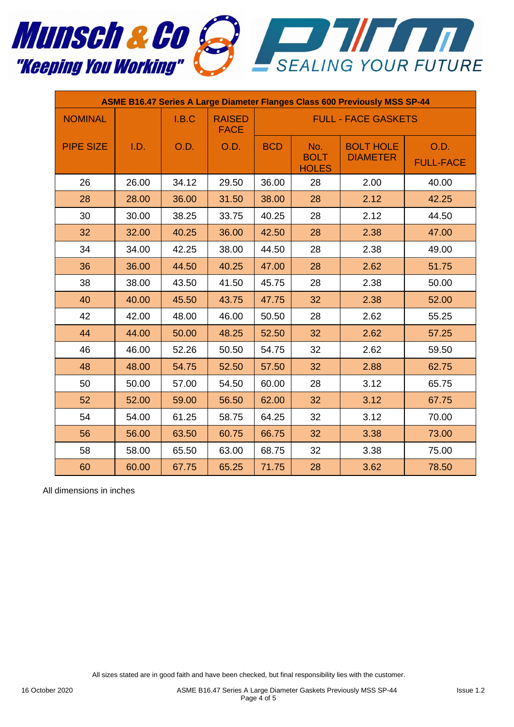

| <b>ASME B16.47 Series A Large Diameter Flanges Class 600 Previously MSS SP-44</b> |       |             |                              |                            |                                    |                                     |                          |  |
|-----------------------------------------------------------------------------------|-------|-------------|------------------------------|----------------------------|------------------------------------|-------------------------------------|--------------------------|--|
| <b>NOMINAL</b>                                                                    |       | I.B.C       | <b>RAISED</b><br><b>FACE</b> | <b>FULL - FACE GASKETS</b> |                                    |                                     |                          |  |
| <b>PIPE SIZE</b>                                                                  | I.D.  | <b>O.D.</b> | O.D.                         | <b>BCD</b>                 | No.<br><b>BOLT</b><br><b>HOLES</b> | <b>BOLT HOLE</b><br><b>DIAMETER</b> | O.D.<br><b>FULL-FACE</b> |  |
| 26                                                                                | 26.00 | 34.12       | 29.50                        | 36.00                      | 28                                 | 2.00                                | 40.00                    |  |
| 28                                                                                | 28.00 | 36.00       | 31.50                        | 38.00                      | 28                                 | 2.12                                | 42.25                    |  |
| 30                                                                                | 30.00 | 38.25       | 33.75                        | 40.25                      | 28                                 | 2.12                                | 44.50                    |  |
| 32                                                                                | 32.00 | 40.25       | 36.00                        | 42.50                      | 28                                 | 2.38                                | 47.00                    |  |
| 34                                                                                | 34.00 | 42.25       | 38.00                        | 44.50                      | 28                                 | 2.38                                | 49.00                    |  |
| 36                                                                                | 36.00 | 44.50       | 40.25                        | 47.00                      | 28                                 | 2.62                                | 51.75                    |  |
| 38                                                                                | 38.00 | 43.50       | 41.50                        | 45.75                      | 28                                 | 2.38                                | 50.00                    |  |
| 40                                                                                | 40.00 | 45.50       | 43.75                        | 47.75                      | 32                                 | 2.38                                | 52.00                    |  |
| 42                                                                                | 42.00 | 48.00       | 46.00                        | 50.50                      | 28                                 | 2.62                                | 55.25                    |  |
| 44                                                                                | 44.00 | 50.00       | 48.25                        | 52.50                      | 32                                 | 2.62                                | 57.25                    |  |
| 46                                                                                | 46.00 | 52.26       | 50.50                        | 54.75                      | 32                                 | 2.62                                | 59.50                    |  |
| 48                                                                                | 48.00 | 54.75       | 52.50                        | 57.50                      | 32                                 | 2.88                                | 62.75                    |  |
| 50                                                                                | 50.00 | 57.00       | 54.50                        | 60.00                      | 28                                 | 3.12                                | 65.75                    |  |
| 52                                                                                | 52.00 | 59.00       | 56.50                        | 62.00                      | 32                                 | 3.12                                | 67.75                    |  |
| 54                                                                                | 54.00 | 61.25       | 58.75                        | 64.25                      | 32                                 | 3.12                                | 70.00                    |  |
| 56                                                                                | 56.00 | 63.50       | 60.75                        | 66.75                      | 32                                 | 3.38                                | 73.00                    |  |
| 58                                                                                | 58.00 | 65.50       | 63.00                        | 68.75                      | 32                                 | 3.38                                | 75.00                    |  |
| 60                                                                                | 60.00 | 67.75       | 65.25                        | 71.75                      | 28                                 | 3.62                                | 78.50                    |  |